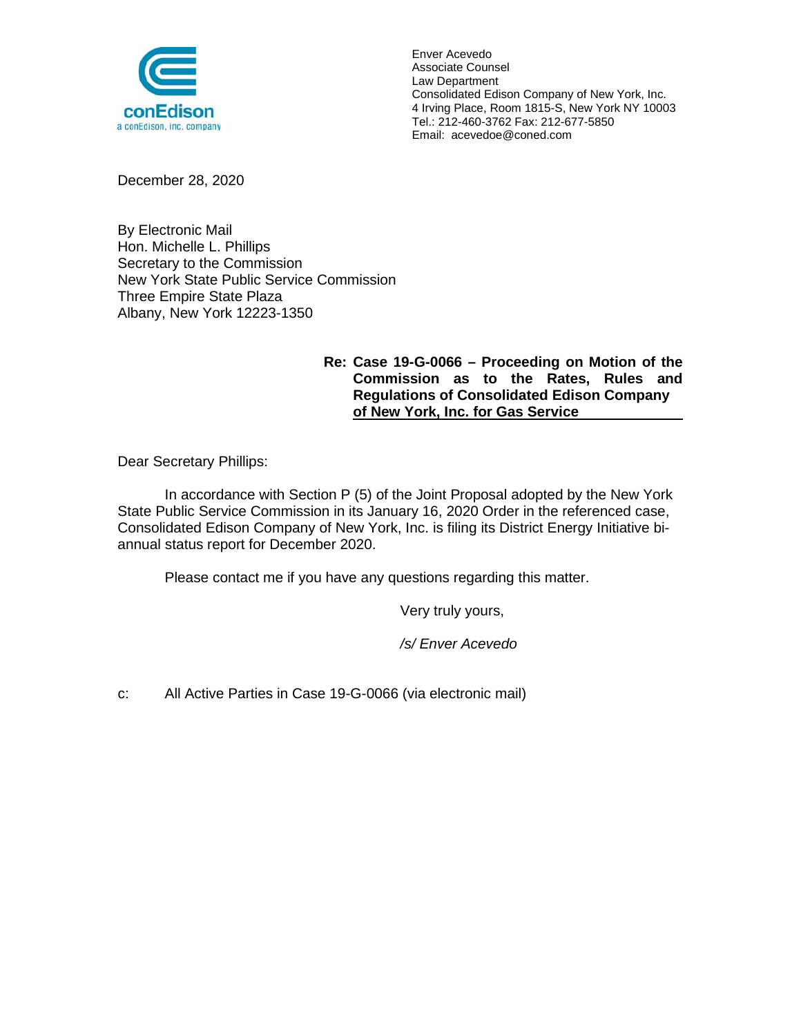

Enver Acevedo Associate Counsel Law Department Consolidated Edison Company of New York, Inc. 4 Irving Place, Room 1815-S, New York NY 10003 Tel.: 212-460-3762 Fax: 212-677-5850 Email: acevedoe@coned.com

December 28, 2020

By Electronic Mail Hon. Michelle L. Phillips Secretary to the Commission New York State Public Service Commission Three Empire State Plaza Albany, New York 12223-1350

## **Re: Case 19-G-0066 – Proceeding on Motion of the Commission as to the Rates, Rules and Regulations of Consolidated Edison Company of New York, Inc. for Gas Service**

Dear Secretary Phillips:

In accordance with Section P (5) of the Joint Proposal adopted by the New York State Public Service Commission in its January 16, 2020 Order in the referenced case, Consolidated Edison Company of New York, Inc. is filing its District Energy Initiative biannual status report for December 2020.

Please contact me if you have any questions regarding this matter.

Very truly yours,

*/s/ Enver Acevedo*

c: All Active Parties in Case 19-G-0066 (via electronic mail)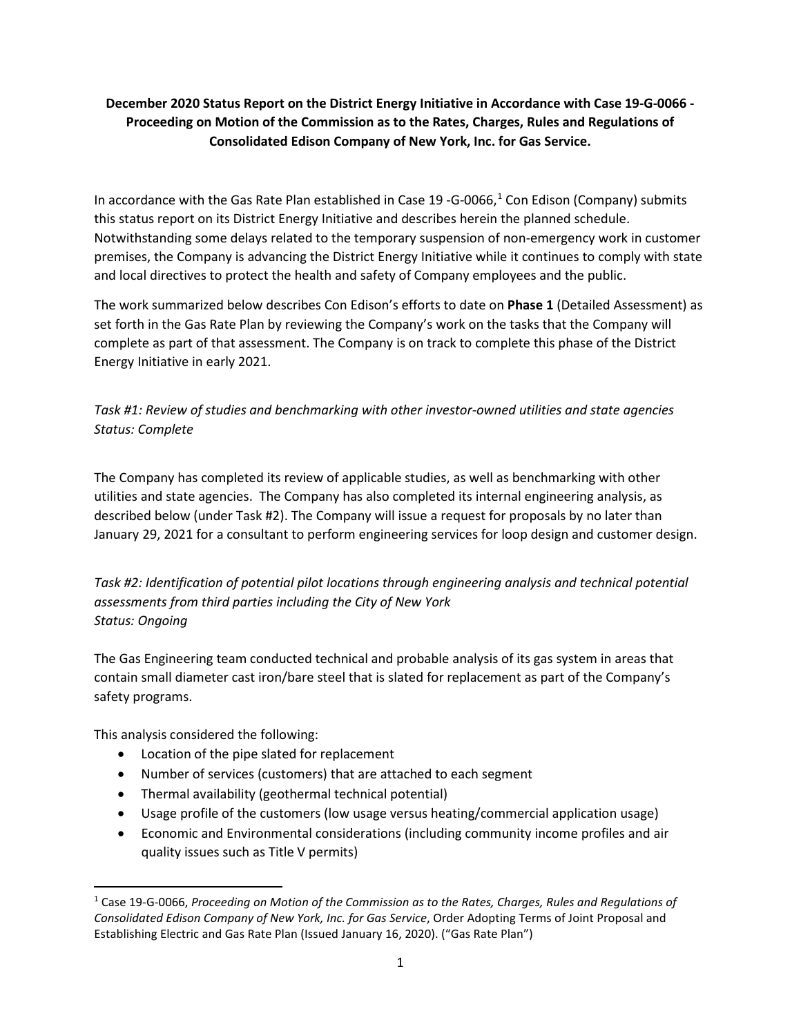## **December 2020 Status Report on the District Energy Initiative in Accordance with Case 19-G-0066 - Proceeding on Motion of the Commission as to the Rates, Charges, Rules and Regulations of Consolidated Edison Company of New York, Inc. for Gas Service.**

In accordance with the Gas Rate Plan established in Case [1](#page-1-0)9 -G-0066, $1$  Con Edison (Company) submits this status report on its District Energy Initiative and describes herein the planned schedule. Notwithstanding some delays related to the temporary suspension of non-emergency work in customer premises, the Company is advancing the District Energy Initiative while it continues to comply with state and local directives to protect the health and safety of Company employees and the public.

The work summarized below describes Con Edison's efforts to date on **Phase 1** (Detailed Assessment) as set forth in the Gas Rate Plan by reviewing the Company's work on the tasks that the Company will complete as part of that assessment. The Company is on track to complete this phase of the District Energy Initiative in early 2021.

*Task #1: Review of studies and benchmarking with other investor-owned utilities and state agencies Status: Complete*

The Company has completed its review of applicable studies, as well as benchmarking with other utilities and state agencies. The Company has also completed its internal engineering analysis, as described below (under Task #2). The Company will issue a request for proposals by no later than January 29, 2021 for a consultant to perform engineering services for loop design and customer design.

*Task #2: Identification of potential pilot locations through engineering analysis and technical potential assessments from third parties including the City of New York Status: Ongoing*

The Gas Engineering team conducted technical and probable analysis of its gas system in areas that contain small diameter cast iron/bare steel that is slated for replacement as part of the Company's safety programs.

This analysis considered the following:

- Location of the pipe slated for replacement
- Number of services (customers) that are attached to each segment
- Thermal availability (geothermal technical potential)
- Usage profile of the customers (low usage versus heating/commercial application usage)
- Economic and Environmental considerations (including community income profiles and air quality issues such as Title V permits)

<span id="page-1-0"></span><sup>1</sup> Case 19-G-0066, *Proceeding on Motion of the Commission as to the Rates, Charges, Rules and Regulations of Consolidated Edison Company of New York, Inc. for Gas Service*, Order Adopting Terms of Joint Proposal and Establishing Electric and Gas Rate Plan (Issued January 16, 2020). ("Gas Rate Plan")